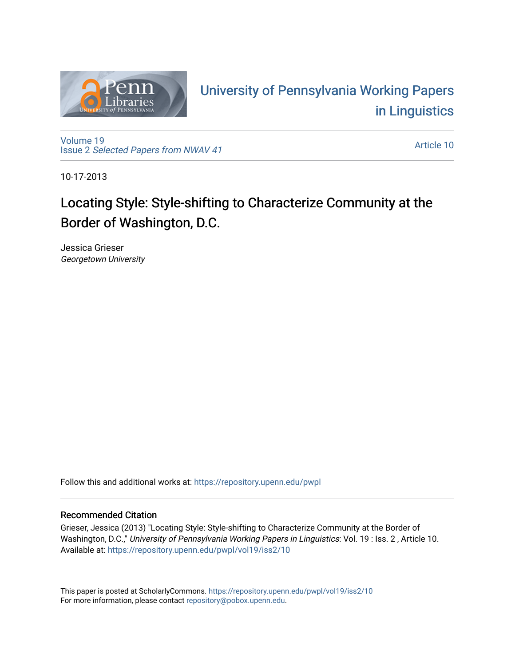

# University of P[ennsylvania Working P](https://repository.upenn.edu/pwpl)apers [in Linguistics](https://repository.upenn.edu/pwpl)

[Volume 19](https://repository.upenn.edu/pwpl/vol19) Issue 2 [Selected Papers from NWAV 41](https://repository.upenn.edu/pwpl/vol19/iss2) 

[Article 10](https://repository.upenn.edu/pwpl/vol19/iss2/10) 

10-17-2013

# Locating Style: Style-shifting to Characterize Community at the Border of Washington, D.C.

Jessica Grieser Georgetown University

Follow this and additional works at: [https://repository.upenn.edu/pwpl](https://repository.upenn.edu/pwpl?utm_source=repository.upenn.edu%2Fpwpl%2Fvol19%2Fiss2%2F10&utm_medium=PDF&utm_campaign=PDFCoverPages) 

## Recommended Citation

Grieser, Jessica (2013) "Locating Style: Style-shifting to Characterize Community at the Border of Washington, D.C.," University of Pennsylvania Working Papers in Linguistics: Vol. 19 : Iss. 2, Article 10. Available at: [https://repository.upenn.edu/pwpl/vol19/iss2/10](https://repository.upenn.edu/pwpl/vol19/iss2/10?utm_source=repository.upenn.edu%2Fpwpl%2Fvol19%2Fiss2%2F10&utm_medium=PDF&utm_campaign=PDFCoverPages)

This paper is posted at ScholarlyCommons.<https://repository.upenn.edu/pwpl/vol19/iss2/10> For more information, please contact [repository@pobox.upenn.edu.](mailto:repository@pobox.upenn.edu)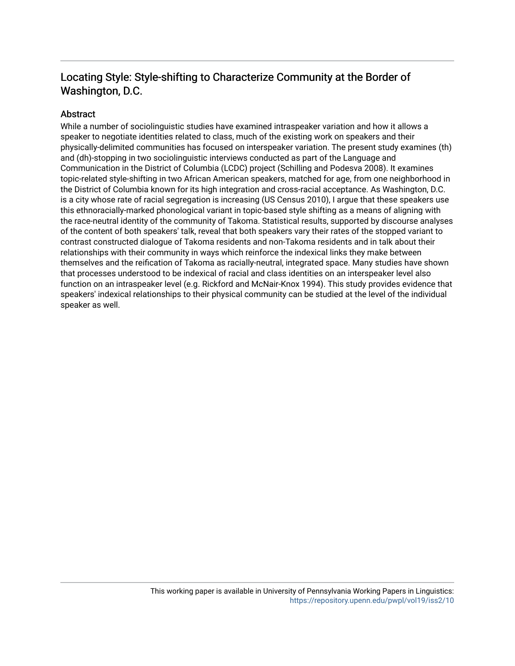## Locating Style: Style-shifting to Characterize Community at the Border of Washington, D.C.

## **Abstract**

While a number of sociolinguistic studies have examined intraspeaker variation and how it allows a speaker to negotiate identities related to class, much of the existing work on speakers and their physically-delimited communities has focused on interspeaker variation. The present study examines (th) and (dh)-stopping in two sociolinguistic interviews conducted as part of the Language and Communication in the District of Columbia (LCDC) project (Schilling and Podesva 2008). It examines topic-related style-shifting in two African American speakers, matched for age, from one neighborhood in the District of Columbia known for its high integration and cross-racial acceptance. As Washington, D.C. is a city whose rate of racial segregation is increasing (US Census 2010), I argue that these speakers use this ethnoracially-marked phonological variant in topic-based style shifting as a means of aligning with the race-neutral identity of the community of Takoma. Statistical results, supported by discourse analyses of the content of both speakers' talk, reveal that both speakers vary their rates of the stopped variant to contrast constructed dialogue of Takoma residents and non-Takoma residents and in talk about their relationships with their community in ways which reinforce the indexical links they make between themselves and the reification of Takoma as racially-neutral, integrated space. Many studies have shown that processes understood to be indexical of racial and class identities on an interspeaker level also function on an intraspeaker level (e.g. Rickford and McNair-Knox 1994). This study provides evidence that speakers' indexical relationships to their physical community can be studied at the level of the individual speaker as well.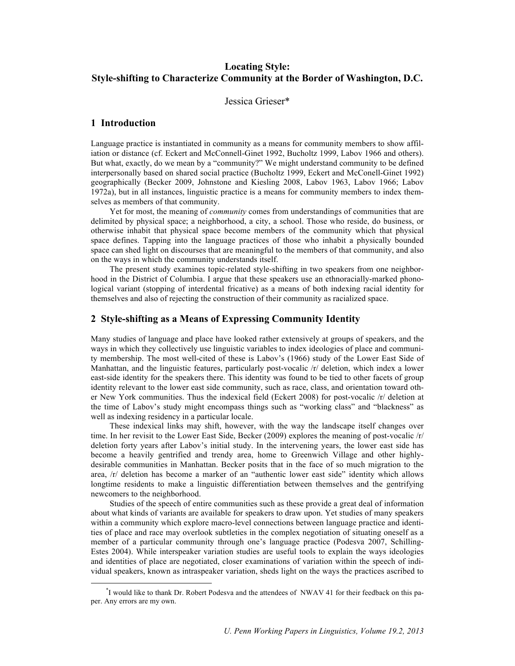## **Locating Style: Style-shifting to Characterize Community at the Border of Washington, D.C.**

Jessica Grieser\*

## **1 Introduction**

Language practice is instantiated in community as a means for community members to show affiliation or distance (cf. Eckert and McConnell-Ginet 1992, Bucholtz 1999, Labov 1966 and others). But what, exactly, do we mean by a "community?" We might understand community to be defined interpersonally based on shared social practice (Bucholtz 1999, Eckert and McConell-Ginet 1992) geographically (Becker 2009, Johnstone and Kiesling 2008, Labov 1963, Labov 1966; Labov 1972a), but in all instances, linguistic practice is a means for community members to index themselves as members of that community.

Yet for most, the meaning of *community* comes from understandings of communities that are delimited by physical space; a neighborhood, a city, a school. Those who reside, do business, or otherwise inhabit that physical space become members of the community which that physical space defines. Tapping into the language practices of those who inhabit a physically bounded space can shed light on discourses that are meaningful to the members of that community, and also on the ways in which the community understands itself.

The present study examines topic-related style-shifting in two speakers from one neighborhood in the District of Columbia. I argue that these speakers use an ethnoracially-marked phonological variant (stopping of interdental fricative) as a means of both indexing racial identity for themselves and also of rejecting the construction of their community as racialized space.

### **2 Style-shifting as a Means of Expressing Community Identity**

Many studies of language and place have looked rather extensively at groups of speakers, and the ways in which they collectively use linguistic variables to index ideologies of place and community membership. The most well-cited of these is Labov's (1966) study of the Lower East Side of Manhattan, and the linguistic features, particularly post-vocalic  $\pi$  deletion, which index a lower east-side identity for the speakers there. This identity was found to be tied to other facets of group identity relevant to the lower east side community, such as race, class, and orientation toward other New York communities. Thus the indexical field (Eckert 2008) for post-vocalic /r/ deletion at the time of Labov's study might encompass things such as "working class" and "blackness" as well as indexing residency in a particular locale.

These indexical links may shift, however, with the way the landscape itself changes over time. In her revisit to the Lower East Side, Becker (2009) explores the meaning of post-vocalic /r/ deletion forty years after Labov's initial study. In the intervening years, the lower east side has become a heavily gentrified and trendy area, home to Greenwich Village and other highlydesirable communities in Manhattan. Becker posits that in the face of so much migration to the area, /r/ deletion has become a marker of an "authentic lower east side" identity which allows longtime residents to make a linguistic differentiation between themselves and the gentrifying newcomers to the neighborhood.

Studies of the speech of entire communities such as these provide a great deal of information about what kinds of variants are available for speakers to draw upon. Yet studies of many speakers within a community which explore macro-level connections between language practice and identities of place and race may overlook subtleties in the complex negotiation of situating oneself as a member of a particular community through one's language practice (Podesva 2007, Schilling-Estes 2004). While interspeaker variation studies are useful tools to explain the ways ideologies and identities of place are negotiated, closer examinations of variation within the speech of individual speakers, known as intraspeaker variation, sheds light on the ways the practices ascribed to

 <sup>\*</sup> <sup>\*</sup>I would like to thank Dr. Robert Podesva and the attendees of NWAV 41 for their feedback on this paper. Any errors are my own.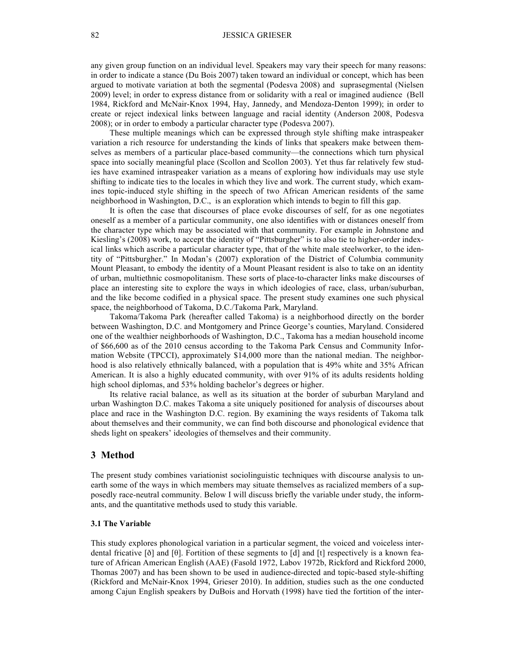any given group function on an individual level. Speakers may vary their speech for many reasons: in order to indicate a stance (Du Bois 2007) taken toward an individual or concept, which has been argued to motivate variation at both the segmental (Podesva 2008) and suprasegmental (Nielsen 2009) level; in order to express distance from or solidarity with a real or imagined audience (Bell 1984, Rickford and McNair-Knox 1994, Hay, Jannedy, and Mendoza-Denton 1999); in order to create or reject indexical links between language and racial identity (Anderson 2008, Podesva 2008); or in order to embody a particular character type (Podesva 2007).

These multiple meanings which can be expressed through style shifting make intraspeaker variation a rich resource for understanding the kinds of links that speakers make between themselves as members of a particular place-based community—the connections which turn physical space into socially meaningful place (Scollon and Scollon 2003). Yet thus far relatively few studies have examined intraspeaker variation as a means of exploring how individuals may use style shifting to indicate ties to the locales in which they live and work. The current study, which examines topic-induced style shifting in the speech of two African American residents of the same neighborhood in Washington, D.C., is an exploration which intends to begin to fill this gap.

It is often the case that discourses of place evoke discourses of self, for as one negotiates oneself as a member of a particular community, one also identifies with or distances oneself from the character type which may be associated with that community. For example in Johnstone and Kiesling's (2008) work, to accept the identity of "Pittsburgher" is to also tie to higher-order indexical links which ascribe a particular character type, that of the white male steelworker, to the identity of "Pittsburgher." In Modan's (2007) exploration of the District of Columbia community Mount Pleasant, to embody the identity of a Mount Pleasant resident is also to take on an identity of urban, multiethnic cosmopolitanism. These sorts of place-to-character links make discourses of place an interesting site to explore the ways in which ideologies of race, class, urban/suburban, and the like become codified in a physical space. The present study examines one such physical space, the neighborhood of Takoma, D.C./Takoma Park, Maryland.

Takoma/Takoma Park (hereafter called Takoma) is a neighborhood directly on the border between Washington, D.C. and Montgomery and Prince George's counties, Maryland. Considered one of the wealthier neighborhoods of Washington, D.C., Takoma has a median household income of \$66,600 as of the 2010 census according to the Takoma Park Census and Community Information Website (TPCCI), approximately \$14,000 more than the national median. The neighborhood is also relatively ethnically balanced, with a population that is 49% white and 35% African American. It is also a highly educated community, with over 91% of its adults residents holding high school diplomas, and 53% holding bachelor's degrees or higher.

Its relative racial balance, as well as its situation at the border of suburban Maryland and urban Washington D.C. makes Takoma a site uniquely positioned for analysis of discourses about place and race in the Washington D.C. region. By examining the ways residents of Takoma talk about themselves and their community, we can find both discourse and phonological evidence that sheds light on speakers' ideologies of themselves and their community.

#### **3 Method**

The present study combines variationist sociolinguistic techniques with discourse analysis to unearth some of the ways in which members may situate themselves as racialized members of a supposedly race-neutral community. Below I will discuss briefly the variable under study, the informants, and the quantitative methods used to study this variable.

#### **3.1 The Variable**

This study explores phonological variation in a particular segment, the voiced and voiceless interdental fricative [ð] and [θ]. Fortition of these segments to [d] and [t] respectively is a known feature of African American English (AAE) (Fasold 1972, Labov 1972b, Rickford and Rickford 2000, Thomas 2007) and has been shown to be used in audience-directed and topic-based style-shifting (Rickford and McNair-Knox 1994, Grieser 2010). In addition, studies such as the one conducted among Cajun English speakers by DuBois and Horvath (1998) have tied the fortition of the inter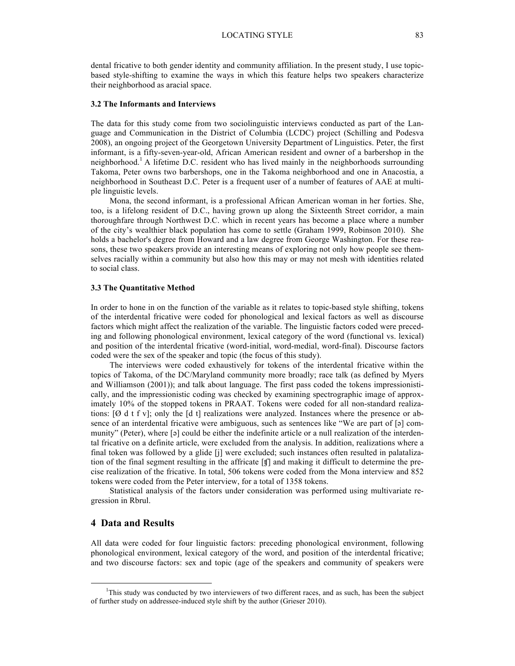dental fricative to both gender identity and community affiliation. In the present study, I use topicbased style-shifting to examine the ways in which this feature helps two speakers characterize their neighborhood as aracial space.

#### **3.2 The Informants and Interviews**

The data for this study come from two sociolinguistic interviews conducted as part of the Language and Communication in the District of Columbia (LCDC) project (Schilling and Podesva 2008), an ongoing project of the Georgetown University Department of Linguistics. Peter, the first informant, is a fifty-seven-year-old, African American resident and owner of a barbershop in the neighborhood.<sup>1</sup> A lifetime D.C. resident who has lived mainly in the neighborhoods surrounding Takoma, Peter owns two barbershops, one in the Takoma neighborhood and one in Anacostia, a neighborhood in Southeast D.C. Peter is a frequent user of a number of features of AAE at multiple linguistic levels.

Mona, the second informant, is a professional African American woman in her forties. She, too, is a lifelong resident of D.C., having grown up along the Sixteenth Street corridor, a main thoroughfare through Northwest D.C. which in recent years has become a place where a number of the city's wealthier black population has come to settle (Graham 1999, Robinson 2010). She holds a bachelor's degree from Howard and a law degree from George Washington. For these reasons, these two speakers provide an interesting means of exploring not only how people see themselves racially within a community but also how this may or may not mesh with identities related to social class.

#### **3.3 The Quantitative Method**

In order to hone in on the function of the variable as it relates to topic-based style shifting, tokens of the interdental fricative were coded for phonological and lexical factors as well as discourse factors which might affect the realization of the variable. The linguistic factors coded were preceding and following phonological environment, lexical category of the word (functional vs. lexical) and position of the interdental fricative (word-initial, word-medial, word-final). Discourse factors coded were the sex of the speaker and topic (the focus of this study).

The interviews were coded exhaustively for tokens of the interdental fricative within the topics of Takoma, of the DC/Maryland community more broadly; race talk (as defined by Myers and Williamson (2001)); and talk about language. The first pass coded the tokens impressionistically, and the impressionistic coding was checked by examining spectrographic image of approximately 10% of the stopped tokens in PRAAT. Tokens were coded for all non-standard realizations:  $[Ø \, d \, t \, f \, v]$ ; only the  $[d \, t]$  realizations were analyzed. Instances where the presence or absence of an interdental fricative were ambiguous, such as sentences like "We are part of  $\lceil 9 \rceil$  community" (Peter), where [a] could be either the indefinite article or a null realization of the interdental fricative on a definite article, were excluded from the analysis. In addition, realizations where a final token was followed by a glide [j] were excluded; such instances often resulted in palatalization of the final segment resulting in the affricate [ʧ] and making it difficult to determine the precise realization of the fricative. In total, 506 tokens were coded from the Mona interview and 852 tokens were coded from the Peter interview, for a total of 1358 tokens.

Statistical analysis of the factors under consideration was performed using multivariate regression in Rbrul.

## **4 Data and Results**

All data were coded for four linguistic factors: preceding phonological environment, following phonological environment, lexical category of the word, and position of the interdental fricative; and two discourse factors: sex and topic (age of the speakers and community of speakers were

 <sup>1</sup> <sup>1</sup>This study was conducted by two interviewers of two different races, and as such, has been the subject of further study on addressee-induced style shift by the author (Grieser 2010).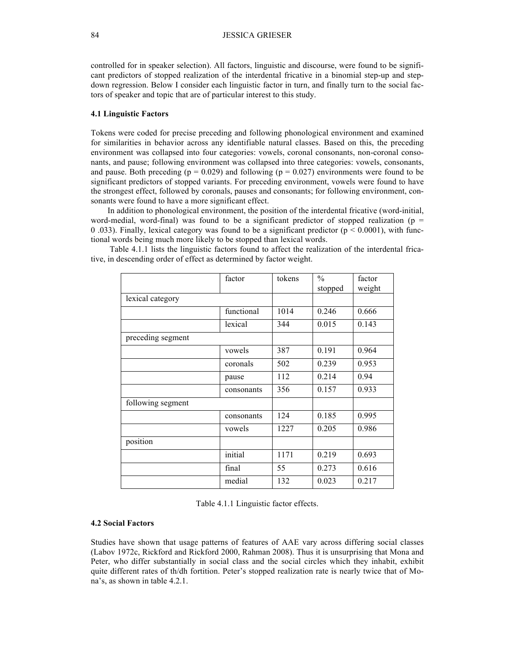controlled for in speaker selection). All factors, linguistic and discourse, were found to be significant predictors of stopped realization of the interdental fricative in a binomial step-up and stepdown regression. Below I consider each linguistic factor in turn, and finally turn to the social factors of speaker and topic that are of particular interest to this study.

#### **4.1 Linguistic Factors**

Tokens were coded for precise preceding and following phonological environment and examined for similarities in behavior across any identifiable natural classes. Based on this, the preceding environment was collapsed into four categories: vowels, coronal consonants, non-coronal consonants, and pause; following environment was collapsed into three categories: vowels, consonants, and pause. Both preceding ( $p = 0.029$ ) and following ( $p = 0.027$ ) environments were found to be significant predictors of stopped variants. For preceding environment, vowels were found to have the strongest effect, followed by coronals, pauses and consonants; for following environment, consonants were found to have a more significant effect.

In addition to phonological environment, the position of the interdental fricative (word-initial, word-medial, word-final) was found to be a significant predictor of stopped realization ( $p =$ 0.033). Finally, lexical category was found to be a significant predictor ( $p < 0.0001$ ), with functional words being much more likely to be stopped than lexical words.

|                   | factor     | tokens | $\frac{0}{0}$<br>stopped | factor<br>weight |
|-------------------|------------|--------|--------------------------|------------------|
| lexical category  |            |        |                          |                  |
|                   | functional | 1014   | 0.246                    | 0.666            |
|                   | lexical    | 344    | 0.015                    | 0.143            |
| preceding segment |            |        |                          |                  |
|                   | vowels     | 387    | 0.191                    | 0.964            |
|                   | coronals   | 502    | 0.239                    | 0.953            |
|                   | pause      | 112    | 0.214                    | 0.94             |
|                   | consonants | 356    | 0.157                    | 0.933            |
| following segment |            |        |                          |                  |
|                   | consonants | 124    | 0.185                    | 0.995            |
|                   | vowels     | 1227   | 0.205                    | 0.986            |
| position          |            |        |                          |                  |
|                   | initial    | 1171   | 0.219                    | 0.693            |
|                   | final      | 55     | 0.273                    | 0.616            |
|                   | medial     | 132    | 0.023                    | 0.217            |

Table 4.1.1 lists the linguistic factors found to affect the realization of the interdental fricative, in descending order of effect as determined by factor weight.

Table 4.1.1 Linguistic factor effects.

## **4.2 Social Factors**

Studies have shown that usage patterns of features of AAE vary across differing social classes (Labov 1972c, Rickford and Rickford 2000, Rahman 2008). Thus it is unsurprising that Mona and Peter, who differ substantially in social class and the social circles which they inhabit, exhibit quite different rates of th/dh fortition. Peter's stopped realization rate is nearly twice that of Mona's, as shown in table 4.2.1.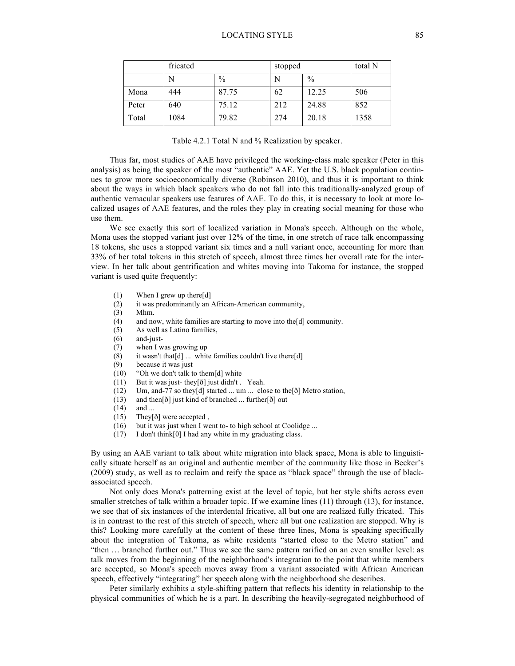|       | fricated |       | stopped |               | total N |
|-------|----------|-------|---------|---------------|---------|
|       |          | $\%$  |         | $\frac{0}{0}$ |         |
| Mona  | 444      | 87.75 | 62      | 12.25         | 506     |
| Peter | 640      | 75.12 | 212     | 24.88         | 852     |
| Total | 1084     | 79.82 | 274     | 20.18         | 1358    |

| Table 4.2.1 Total N and % Realization by speaker. |  |  |
|---------------------------------------------------|--|--|
|---------------------------------------------------|--|--|

Thus far, most studies of AAE have privileged the working-class male speaker (Peter in this analysis) as being the speaker of the most "authentic" AAE. Yet the U.S. black population continues to grow more socioeconomically diverse (Robinson 2010), and thus it is important to think about the ways in which black speakers who do not fall into this traditionally-analyzed group of authentic vernacular speakers use features of AAE. To do this, it is necessary to look at more localized usages of AAE features, and the roles they play in creating social meaning for those who use them.

We see exactly this sort of localized variation in Mona's speech. Although on the whole, Mona uses the stopped variant just over 12% of the time, in one stretch of race talk encompassing 18 tokens, she uses a stopped variant six times and a null variant once, accounting for more than 33% of her total tokens in this stretch of speech, almost three times her overall rate for the interview. In her talk about gentrification and whites moving into Takoma for instance, the stopped variant is used quite frequently:

- (1) When I grew up there[d]
- (2) it was predominantly an African-American community,
- (3) Mhm.
- (4) and now, white families are starting to move into the[d] community.
- (5) As well as Latino families,
- (6) and-just-
- (7) when I was growing up
- (8) it wasn't that  $[d]$  ... white families couldn't live there  $[d]$
- (9) because it was just
- (10) "Oh we don't talk to them[d] white
- (11) But it was just- they[ð] just didn't . Yeah.
- (12) Um, and-77 so they[d] started ... um ... close to the[ð] Metro station,
- (13) and then[ð] just kind of branched ... further[ð] out
- (14) and ...
- (15) They[ð] were accepted ,
- (16) but it was just when I went to- to high school at Coolidge ...
- (17) I don't think[ $\theta$ ] I had any white in my graduating class.

By using an AAE variant to talk about white migration into black space, Mona is able to linguistically situate herself as an original and authentic member of the community like those in Becker's (2009) study, as well as to reclaim and reify the space as "black space" through the use of blackassociated speech.

Not only does Mona's patterning exist at the level of topic, but her style shifts across even smaller stretches of talk within a broader topic. If we examine lines (11) through (13), for instance, we see that of six instances of the interdental fricative, all but one are realized fully fricated. This is in contrast to the rest of this stretch of speech, where all but one realization are stopped. Why is this? Looking more carefully at the content of these three lines, Mona is speaking specifically about the integration of Takoma, as white residents "started close to the Metro station" and "then … branched further out." Thus we see the same pattern rarified on an even smaller level: as talk moves from the beginning of the neighborhood's integration to the point that white members are accepted, so Mona's speech moves away from a variant associated with African American speech, effectively "integrating" her speech along with the neighborhood she describes.

Peter similarly exhibits a style-shifting pattern that reflects his identity in relationship to the physical communities of which he is a part. In describing the heavily-segregated neighborhood of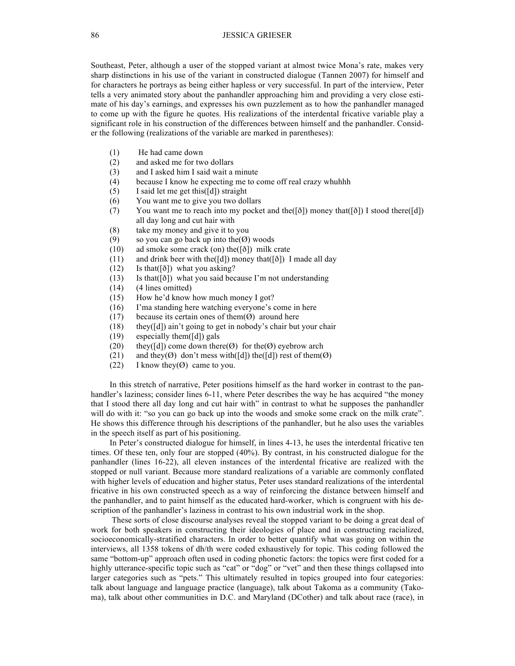Southeast, Peter, although a user of the stopped variant at almost twice Mona's rate, makes very sharp distinctions in his use of the variant in constructed dialogue (Tannen 2007) for himself and for characters he portrays as being either hapless or very successful. In part of the interview, Peter tells a very animated story about the panhandler approaching him and providing a very close estimate of his day's earnings, and expresses his own puzzlement as to how the panhandler managed to come up with the figure he quotes. His realizations of the interdental fricative variable play a significant role in his construction of the differences between himself and the panhandler. Consider the following (realizations of the variable are marked in parentheses):

- (1) He had came down
- (2) and asked me for two dollars
- (3) and I asked him I said wait a minute
- (4) because I know he expecting me to come off real crazy whuhhh
- (5) I said let me get this([d]) straight
- (6) You want me to give you two dollars
- (7) You want me to reach into my pocket and the( $[\delta]$ ) money that( $[\delta]$ ) I stood there( $[d]$ ) all day long and cut hair with
- (8) take my money and give it to you
- (9) so you can go back up into the  $(\emptyset)$  woods
- (10) ad smoke some crack (on) the([ð]) milk crate
- (11) and drink beer with the([d]) money that([ð]) I made all day
- $(12)$  Is that([ $\delta$ ]) what you asking?
- (13) Is that( $[\delta]$ ) what you said because I'm not understanding
- (14) (4 lines omitted)
- (15) How he'd know how much money I got?
- (16) I'ma standing here watching everyone's come in here
- (17) because its certain ones of them $(\emptyset)$  around here
- (18) they( $[d]$ ) ain't going to get in nobody's chair but your chair
- (19) especially them([d]) gals
- (20) they([d]) come down there( $\emptyset$ ) for the( $\emptyset$ ) eyebrow arch
- (21) and they( $\emptyset$ ) don't mess with([d]) the([d]) rest of them( $\emptyset$ )
- (22) I know they( $\emptyset$ ) came to you.

In this stretch of narrative, Peter positions himself as the hard worker in contrast to the panhandler's laziness; consider lines 6-11, where Peter describes the way he has acquired "the money that I stood there all day long and cut hair with" in contrast to what he supposes the panhandler will do with it: "so you can go back up into the woods and smoke some crack on the milk crate". He shows this difference through his descriptions of the panhandler, but he also uses the variables in the speech itself as part of his positioning.

In Peter's constructed dialogue for himself, in lines 4-13, he uses the interdental fricative ten times. Of these ten, only four are stopped (40%). By contrast, in his constructed dialogue for the panhandler (lines 16-22), all eleven instances of the interdental fricative are realized with the stopped or null variant. Because more standard realizations of a variable are commonly conflated with higher levels of education and higher status, Peter uses standard realizations of the interdental fricative in his own constructed speech as a way of reinforcing the distance between himself and the panhandler, and to paint himself as the educated hard-worker, which is congruent with his description of the panhandler's laziness in contrast to his own industrial work in the shop.

These sorts of close discourse analyses reveal the stopped variant to be doing a great deal of work for both speakers in constructing their ideologies of place and in constructing racialized, socioeconomically-stratified characters. In order to better quantify what was going on within the interviews, all 1358 tokens of dh/th were coded exhaustively for topic. This coding followed the same "bottom-up" approach often used in coding phonetic factors: the topics were first coded for a highly utterance-specific topic such as "cat" or "dog" or "vet" and then these things collapsed into larger categories such as "pets." This ultimately resulted in topics grouped into four categories: talk about language and language practice (language), talk about Takoma as a community (Takoma), talk about other communities in D.C. and Maryland (DCother) and talk about race (race), in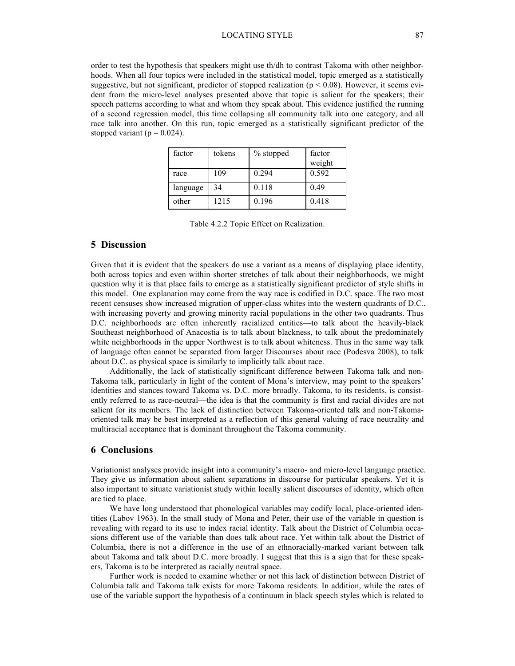#### LOCATING STYLE 87

order to test the hypothesis that speakers might use th/dh to contrast Takoma with other neighborhoods. When all four topics were included in the statistical model, topic emerged as a statistically suggestive, but not significant, predictor of stopped realization ( $p < 0.08$ ). However, it seems evident from the micro-level analyses presented above that topic is salient for the speakers; their speech patterns according to what and whom they speak about. This evidence justified the running of a second regression model, this time collapsing all community talk into one category, and all race talk into another. On this run, topic emerged as a statistically significant predictor of the stopped variant ( $p = 0.024$ ).

| factor   | tokens | % stopped | factor<br>weight |
|----------|--------|-----------|------------------|
| race     | 109    | 0.294     | 0.592            |
| language | 34     | 0.118     | 0.49             |
| other    | 1215   | 0.196     | 0.418            |

Table 4.2.2 Topic Effect on Realization.

## **5 Discussion**

Given that it is evident that the speakers do use a variant as a means of displaying place identity, both across topics and even within shorter stretches of talk about their neighborhoods, we might question why it is that place fails to emerge as a statistically significant predictor of style shifts in this model. One explanation may come from the way race is codified in D.C. space. The two most recent censuses show increased migration of upper-class whites into the western quadrants of D.C., with increasing poverty and growing minority racial populations in the other two quadrants. Thus D.C. neighborhoods are often inherently racialized entities—to talk about the heavily-black Southeast neighborhood of Anacostia is to talk about blackness, to talk about the predominately white neighborhoods in the upper Northwest is to talk about whiteness. Thus in the same way talk of language often cannot be separated from larger Discourses about race (Podesva 2008), to talk about D.C. as physical space is similarly to implicitly talk about race.

Additionally, the lack of statistically significant difference between Takoma talk and non-Takoma talk, particularly in light of the content of Mona's interview, may point to the speakers' identities and stances toward Takoma vs. D.C. more broadly. Takoma, to its residents, is consistently referred to as race-neutral—the idea is that the community is first and racial divides are not salient for its members. The lack of distinction between Takoma-oriented talk and non-Takomaoriented talk may be best interpreted as a reflection of this general valuing of race neutrality and multiracial acceptance that is dominant throughout the Takoma community.

## **6 Conclusions**

Variationist analyses provide insight into a community's macro- and micro-level language practice. They give us information about salient separations in discourse for particular speakers. Yet it is also important to situate variationist study within locally salient discourses of identity, which often are tied to place.

We have long understood that phonological variables may codify local, place-oriented identities (Labov 1963). In the small study of Mona and Peter, their use of the variable in question is revealing with regard to its use to index racial identity. Talk about the District of Columbia occasions different use of the variable than does talk about race. Yet within talk about the District of Columbia, there is not a difference in the use of an ethnoracially-marked variant between talk about Takoma and talk about D.C. more broadly. I suggest that this is a sign that for these speakers, Takoma is to be interpreted as racially neutral space.

Further work is needed to examine whether or not this lack of distinction between District of Columbia talk and Takoma talk exists for more Takoma residents. In addition, while the rates of use of the variable support the hypothesis of a continuum in black speech styles which is related to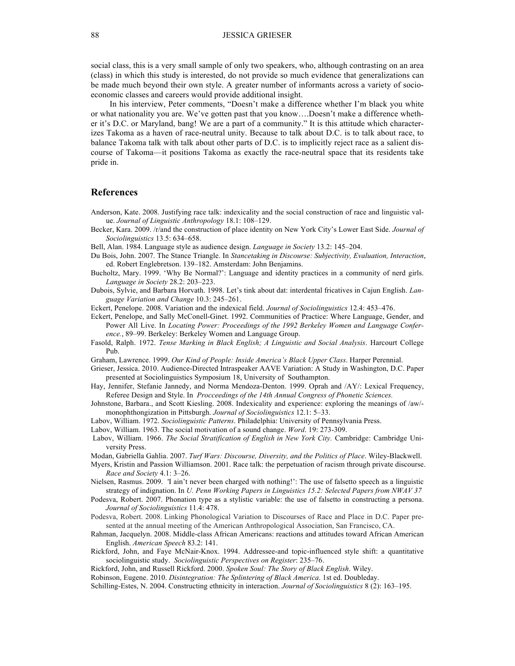social class, this is a very small sample of only two speakers, who, although contrasting on an area (class) in which this study is interested, do not provide so much evidence that generalizations can be made much beyond their own style. A greater number of informants across a variety of socioeconomic classes and careers would provide additional insight.

In his interview, Peter comments, "Doesn't make a difference whether I'm black you white or what nationality you are. We've gotten past that you know….Doesn't make a difference whether it's D.C. or Maryland, bang! We are a part of a community." It is this attitude which characterizes Takoma as a haven of race-neutral unity. Because to talk about D.C. is to talk about race, to balance Takoma talk with talk about other parts of D.C. is to implicitly reject race as a salient discourse of Takoma—it positions Takoma as exactly the race-neutral space that its residents take pride in.

### **References**

- Anderson, Kate. 2008. Justifying race talk: indexicality and the social construction of race and linguistic value. *Journal of Linguistic Anthropology* 18.1: 108–129.
- Becker, Kara. 2009. /r/and the construction of place identity on New York City's Lower East Side. *Journal of Sociolinguistics* 13.5: 634–658.
- Bell, Alan. 1984. Language style as audience design. *Language in Society* 13.2: 145–204.
- Du Bois, John. 2007. The Stance Triangle. In *Stancetaking in Discourse: Subjectivity, Evaluation, Interaction*, ed. Robert Englebretson. 139–182. Amsterdam: John Benjamins.
- Bucholtz, Mary. 1999. 'Why Be Normal?': Language and identity practices in a community of nerd girls. *Language in Society* 28.2: 203–223.
- Dubois, Sylvie, and Barbara Horvath. 1998. Let's tink about dat: interdental fricatives in Cajun English. *Language Variation and Change* 10.3: 245–261.
- Eckert, Penelope. 2008. Variation and the indexical field. *Journal of Sociolinguistics* 12.4: 453–476.
- Eckert, Penelope, and Sally McConell-Ginet. 1992. Communities of Practice: Where Language, Gender, and Power All Live. In *Locating Power: Proceedings of the 1992 Berkeley Women and Language Conference.*, 89–99. Berkeley: Berkeley Women and Language Group.
- Fasold, Ralph. 1972. *Tense Marking in Black English; A Linguistic and Social Analysis*. Harcourt College Pub.
- Graham, Lawrence. 1999. *Our Kind of People: Inside America's Black Upper Class*. Harper Perennial.
- Grieser, Jessica. 2010. Audience-Directed Intraspeaker AAVE Variation: A Study in Washington, D.C. Paper presented at Sociolinguistics Symposium 18, University of Southampton.
- Hay, Jennifer, Stefanie Jannedy, and Norma Mendoza-Denton. 1999. Oprah and /AY/: Lexical Frequency, Referee Design and Style. In *Procceedings of the 14th Annual Congress of Phonetic Sciences.*
- Johnstone, Barbara., and Scott Kiesling. 2008. Indexicality and experience: exploring the meanings of /aw/ monophthongization in Pittsburgh. *Journal of Sociolinguistics* 12.1: 5–33.
- Labov, William. 1972. *Sociolinguistic Patterns*. Philadelphia: University of Pennsylvania Press.
- Labov, William. 1963. The social motivation of a sound change. *Word*. 19: 273-309.
- Labov, William. 1966. *The Social Stratification of English in New York City.* Cambridge: Cambridge University Press.
- Modan, Gabriella Gahlia. 2007. *Turf Wars: Discourse, Diversity, and the Politics of Place*. Wiley-Blackwell. Myers, Kristin and Passion Williamson. 2001. Race talk: the perpetuation of racism through private discourse.
- *Race and Society* 4.1: 3–26. Nielsen, Rasmus. 2009. 'I ain't never been charged with nothing!': The use of falsetto speech as a linguistic
- strategy of indignation. In *U. Penn Working Papers in Linguistics 15.2: Selected Papers from NWAV 37*
- Podesva, Robert. 2007. Phonation type as a stylistic variable: the use of falsetto in constructing a persona. *Journal of Sociolinguistics* 11.4: 478.
- Podesva, Robert. 2008. Linking Phonological Variation to Discourses of Race and Place in D.C. Paper presented at the annual meeting of the American Anthropological Association, San Francisco, CA.
- Rahman, Jacquelyn. 2008. Middle-class African Americans: reactions and attitudes toward African American English. *American Speech* 83.2: 141.
- Rickford, John, and Faye McNair-Knox. 1994. Addressee-and topic-influenced style shift: a quantitative sociolinguistic study. *Sociolinguistic Perspectives on Register*: 235–76.
- Rickford, John, and Russell Rickford. 2000. *Spoken Soul: The Story of Black English*. Wiley.
- Robinson, Eugene. 2010. *Disintegration: The Splintering of Black America*. 1st ed. Doubleday.
- Schilling-Estes, N. 2004. Constructing ethnicity in interaction. *Journal of Sociolinguistics* 8 (2): 163–195.